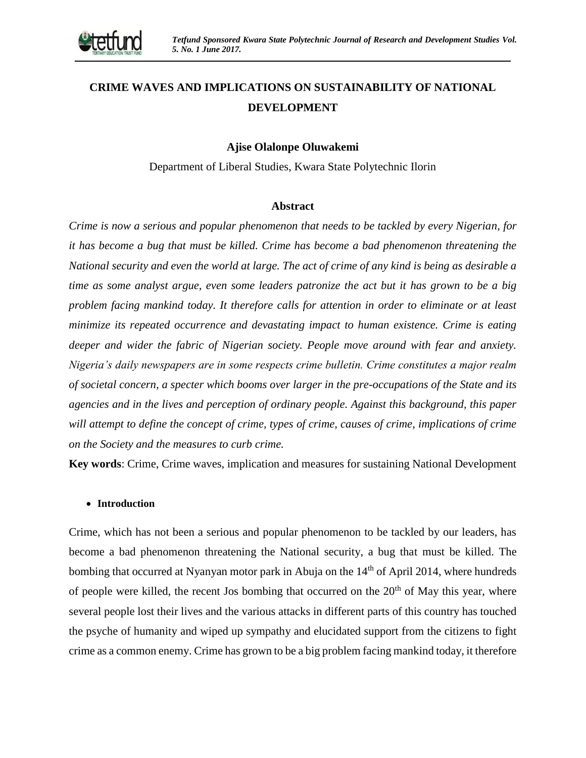

# **CRIME WAVES AND IMPLICATIONS ON SUSTAINABILITY OF NATIONAL DEVELOPMENT**

### **Ajise Olalonpe Oluwakemi**

Department of Liberal Studies, Kwara State Polytechnic Ilorin

#### **Abstract**

*Crime is now a serious and popular phenomenon that needs to be tackled by every Nigerian, for it has become a bug that must be killed. Crime has become a bad phenomenon threatening the National security and even the world at large. The act of crime of any kind is being as desirable a time as some analyst argue, even some leaders patronize the act but it has grown to be a big problem facing mankind today. It therefore calls for attention in order to eliminate or at least minimize its repeated occurrence and devastating impact to human existence. Crime is eating deeper and wider the fabric of Nigerian society. People move around with fear and anxiety. Nigeria's daily newspapers are in some respects crime bulletin. Crime constitutes a major realm of societal concern, a specter which booms over larger in the pre-occupations of the State and its agencies and in the lives and perception of ordinary people. Against this background, this paper will attempt to define the concept of crime, types of crime, causes of crime, implications of crime on the Society and the measures to curb crime.*

**Key words**: Crime, Crime waves, implication and measures for sustaining National Development

#### **Introduction**

Crime, which has not been a serious and popular phenomenon to be tackled by our leaders, has become a bad phenomenon threatening the National security, a bug that must be killed. The bombing that occurred at Nyanyan motor park in Abuja on the 14<sup>th</sup> of April 2014, where hundreds of people were killed, the recent Jos bombing that occurred on the  $20<sup>th</sup>$  of May this year, where several people lost their lives and the various attacks in different parts of this country has touched the psyche of humanity and wiped up sympathy and elucidated support from the citizens to fight crime as a common enemy. Crime has grown to be a big problem facing mankind today, it therefore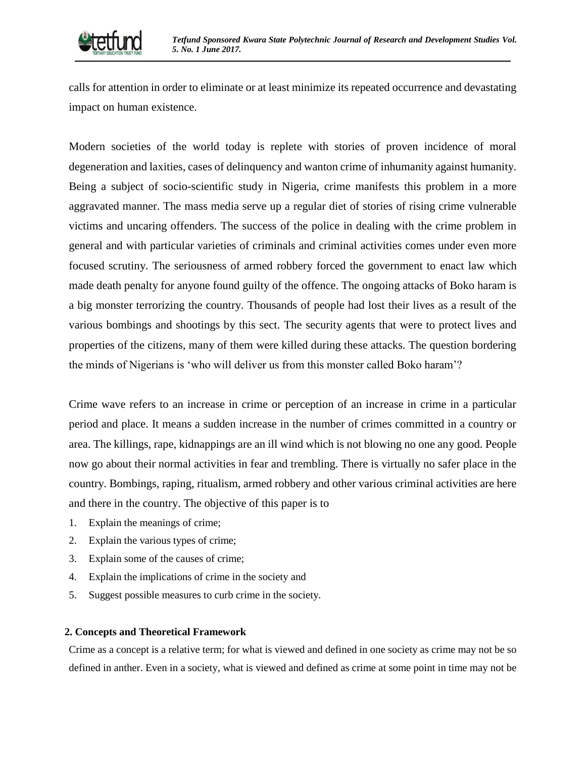

calls for attention in order to eliminate or at least minimize its repeated occurrence and devastating impact on human existence.

Modern societies of the world today is replete with stories of proven incidence of moral degeneration and laxities, cases of delinquency and wanton crime of inhumanity against humanity. Being a subject of socio-scientific study in Nigeria, crime manifests this problem in a more aggravated manner. The mass media serve up a regular diet of stories of rising crime vulnerable victims and uncaring offenders. The success of the police in dealing with the crime problem in general and with particular varieties of criminals and criminal activities comes under even more focused scrutiny. The seriousness of armed robbery forced the government to enact law which made death penalty for anyone found guilty of the offence. The ongoing attacks of Boko haram is a big monster terrorizing the country. Thousands of people had lost their lives as a result of the various bombings and shootings by this sect. The security agents that were to protect lives and properties of the citizens, many of them were killed during these attacks. The question bordering the minds of Nigerians is 'who will deliver us from this monster called Boko haram'?

Crime wave refers to an increase in crime or perception of an increase in crime in a particular period and place. It means a sudden increase in the number of crimes committed in a country or area. The killings, rape, kidnappings are an ill wind which is not blowing no one any good. People now go about their normal activities in fear and trembling. There is virtually no safer place in the country. Bombings, raping, ritualism, armed robbery and other various criminal activities are here and there in the country. The objective of this paper is to

- 1. Explain the meanings of crime;
- 2. Explain the various types of crime;
- 3. Explain some of the causes of crime;
- 4. Explain the implications of crime in the society and
- 5. Suggest possible measures to curb crime in the society.

#### **2. Concepts and Theoretical Framework**

Crime as a concept is a relative term; for what is viewed and defined in one society as crime may not be so defined in anther. Even in a society, what is viewed and defined as crime at some point in time may not be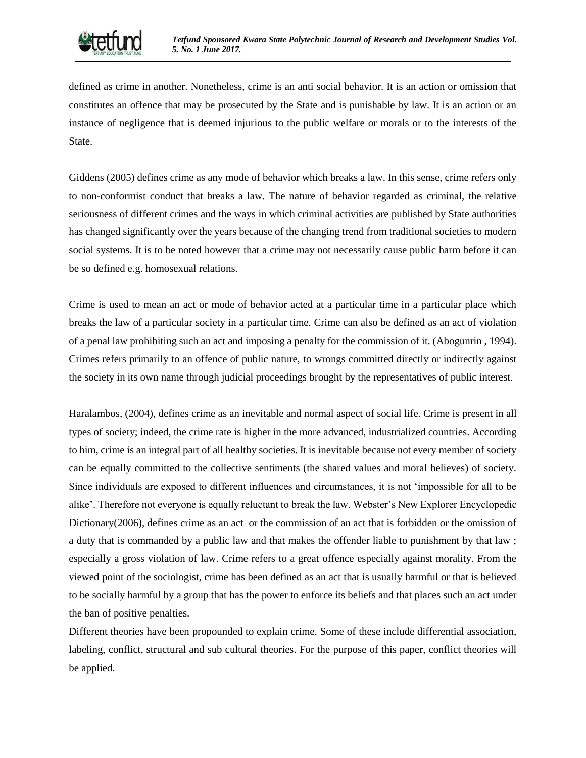

defined as crime in another. Nonetheless, crime is an anti social behavior. It is an action or omission that constitutes an offence that may be prosecuted by the State and is punishable by law. It is an action or an instance of negligence that is deemed injurious to the public welfare or morals or to the interests of the State.

Giddens (2005) defines crime as any mode of behavior which breaks a law. In this sense, crime refers only to non-conformist conduct that breaks a law. The nature of behavior regarded as criminal, the relative seriousness of different crimes and the ways in which criminal activities are published by State authorities has changed significantly over the years because of the changing trend from traditional societies to modern social systems. It is to be noted however that a crime may not necessarily cause public harm before it can be so defined e.g. homosexual relations.

Crime is used to mean an act or mode of behavior acted at a particular time in a particular place which breaks the law of a particular society in a particular time. Crime can also be defined as an act of violation of a penal law prohibiting such an act and imposing a penalty for the commission of it. (Abogunrin , 1994). Crimes refers primarily to an offence of public nature, to wrongs committed directly or indirectly against the society in its own name through judicial proceedings brought by the representatives of public interest.

Haralambos, (2004), defines crime as an inevitable and normal aspect of social life. Crime is present in all types of society; indeed, the crime rate is higher in the more advanced, industrialized countries. According to him, crime is an integral part of all healthy societies. It is inevitable because not every member of society can be equally committed to the collective sentiments (the shared values and moral believes) of society. Since individuals are exposed to different influences and circumstances, it is not 'impossible for all to be alike'. Therefore not everyone is equally reluctant to break the law. Webster's New Explorer Encyclopedic Dictionary(2006), defines crime as an act or the commission of an act that is forbidden or the omission of a duty that is commanded by a public law and that makes the offender liable to punishment by that law ; especially a gross violation of law. Crime refers to a great offence especially against morality. From the viewed point of the sociologist, crime has been defined as an act that is usually harmful or that is believed to be socially harmful by a group that has the power to enforce its beliefs and that places such an act under the ban of positive penalties.

Different theories have been propounded to explain crime. Some of these include differential association, labeling, conflict, structural and sub cultural theories. For the purpose of this paper, conflict theories will be applied.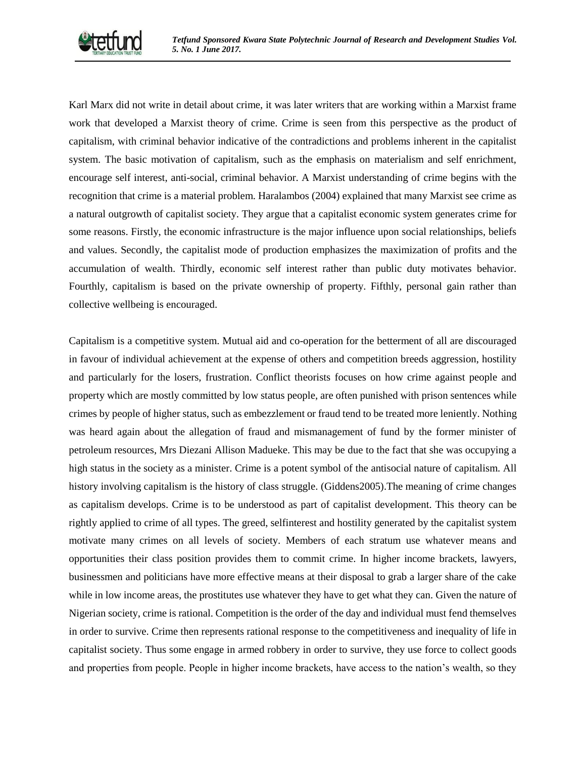

Karl Marx did not write in detail about crime, it was later writers that are working within a Marxist frame work that developed a Marxist theory of crime. Crime is seen from this perspective as the product of capitalism, with criminal behavior indicative of the contradictions and problems inherent in the capitalist system. The basic motivation of capitalism, such as the emphasis on materialism and self enrichment, encourage self interest, anti-social, criminal behavior. A Marxist understanding of crime begins with the recognition that crime is a material problem. Haralambos (2004) explained that many Marxist see crime as a natural outgrowth of capitalist society. They argue that a capitalist economic system generates crime for some reasons. Firstly, the economic infrastructure is the major influence upon social relationships, beliefs and values. Secondly, the capitalist mode of production emphasizes the maximization of profits and the accumulation of wealth. Thirdly, economic self interest rather than public duty motivates behavior. Fourthly, capitalism is based on the private ownership of property. Fifthly, personal gain rather than collective wellbeing is encouraged.

Capitalism is a competitive system. Mutual aid and co-operation for the betterment of all are discouraged in favour of individual achievement at the expense of others and competition breeds aggression, hostility and particularly for the losers, frustration. Conflict theorists focuses on how crime against people and property which are mostly committed by low status people, are often punished with prison sentences while crimes by people of higher status, such as embezzlement or fraud tend to be treated more leniently. Nothing was heard again about the allegation of fraud and mismanagement of fund by the former minister of petroleum resources, Mrs Diezani Allison Madueke. This may be due to the fact that she was occupying a high status in the society as a minister. Crime is a potent symbol of the antisocial nature of capitalism. All history involving capitalism is the history of class struggle. (Giddens2005).The meaning of crime changes as capitalism develops. Crime is to be understood as part of capitalist development. This theory can be rightly applied to crime of all types. The greed, selfinterest and hostility generated by the capitalist system motivate many crimes on all levels of society. Members of each stratum use whatever means and opportunities their class position provides them to commit crime. In higher income brackets, lawyers, businessmen and politicians have more effective means at their disposal to grab a larger share of the cake while in low income areas, the prostitutes use whatever they have to get what they can. Given the nature of Nigerian society, crime is rational. Competition is the order of the day and individual must fend themselves in order to survive. Crime then represents rational response to the competitiveness and inequality of life in capitalist society. Thus some engage in armed robbery in order to survive, they use force to collect goods and properties from people. People in higher income brackets, have access to the nation's wealth, so they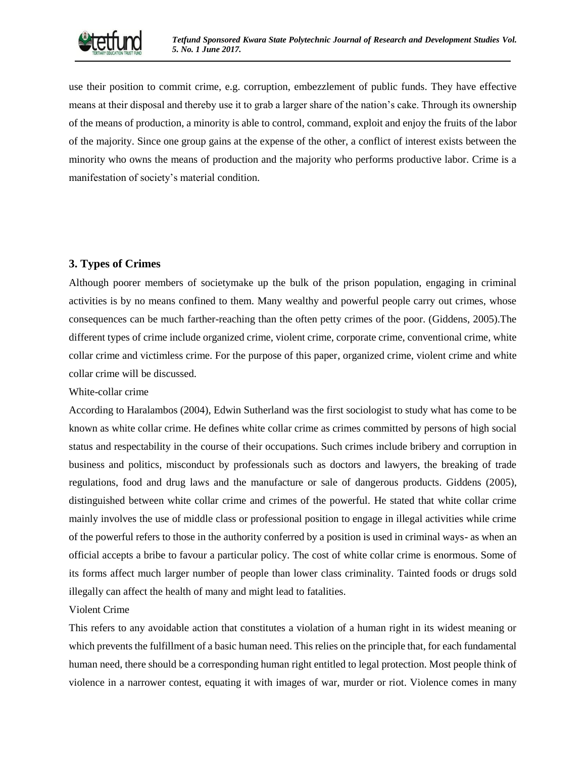

use their position to commit crime, e.g. corruption, embezzlement of public funds. They have effective means at their disposal and thereby use it to grab a larger share of the nation's cake. Through its ownership of the means of production, a minority is able to control, command, exploit and enjoy the fruits of the labor of the majority. Since one group gains at the expense of the other, a conflict of interest exists between the minority who owns the means of production and the majority who performs productive labor. Crime is a manifestation of society's material condition.

# **3. Types of Crimes**

Although poorer members of societymake up the bulk of the prison population, engaging in criminal activities is by no means confined to them. Many wealthy and powerful people carry out crimes, whose consequences can be much farther-reaching than the often petty crimes of the poor. (Giddens, 2005).The different types of crime include organized crime, violent crime, corporate crime, conventional crime, white collar crime and victimless crime. For the purpose of this paper, organized crime, violent crime and white collar crime will be discussed.

## White-collar crime

According to Haralambos (2004), Edwin Sutherland was the first sociologist to study what has come to be known as white collar crime. He defines white collar crime as crimes committed by persons of high social status and respectability in the course of their occupations. Such crimes include bribery and corruption in business and politics, misconduct by professionals such as doctors and lawyers, the breaking of trade regulations, food and drug laws and the manufacture or sale of dangerous products. Giddens (2005), distinguished between white collar crime and crimes of the powerful. He stated that white collar crime mainly involves the use of middle class or professional position to engage in illegal activities while crime of the powerful refers to those in the authority conferred by a position is used in criminal ways- as when an official accepts a bribe to favour a particular policy. The cost of white collar crime is enormous. Some of its forms affect much larger number of people than lower class criminality. Tainted foods or drugs sold illegally can affect the health of many and might lead to fatalities.

## Violent Crime

This refers to any avoidable action that constitutes a violation of a human right in its widest meaning or which prevents the fulfillment of a basic human need. This relies on the principle that, for each fundamental human need, there should be a corresponding human right entitled to legal protection. Most people think of violence in a narrower contest, equating it with images of war, murder or riot. Violence comes in many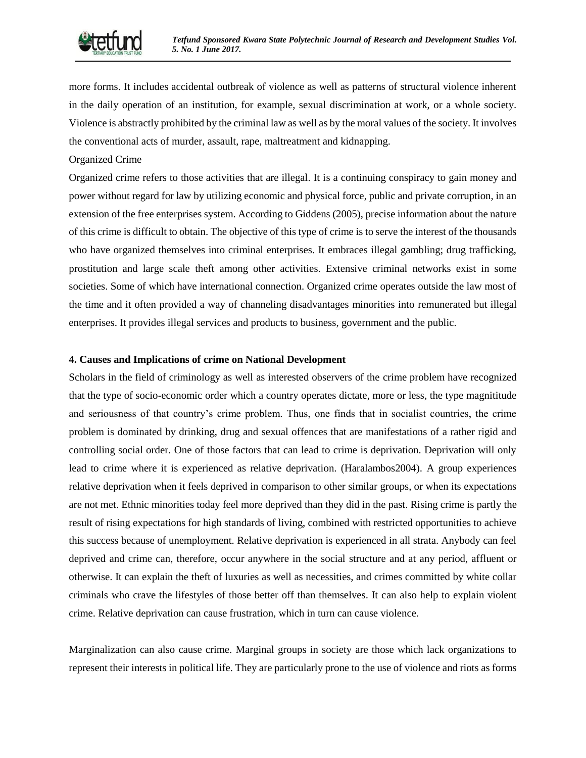

more forms. It includes accidental outbreak of violence as well as patterns of structural violence inherent in the daily operation of an institution, for example, sexual discrimination at work, or a whole society. Violence is abstractly prohibited by the criminal law as well as by the moral values of the society. It involves the conventional acts of murder, assault, rape, maltreatment and kidnapping.

#### Organized Crime

Organized crime refers to those activities that are illegal. It is a continuing conspiracy to gain money and power without regard for law by utilizing economic and physical force, public and private corruption, in an extension of the free enterprises system. According to Giddens (2005), precise information about the nature of this crime is difficult to obtain. The objective of this type of crime is to serve the interest of the thousands who have organized themselves into criminal enterprises. It embraces illegal gambling; drug trafficking, prostitution and large scale theft among other activities. Extensive criminal networks exist in some societies. Some of which have international connection. Organized crime operates outside the law most of the time and it often provided a way of channeling disadvantages minorities into remunerated but illegal enterprises. It provides illegal services and products to business, government and the public.

#### **4. Causes and Implications of crime on National Development**

Scholars in the field of criminology as well as interested observers of the crime problem have recognized that the type of socio-economic order which a country operates dictate, more or less, the type magnititude and seriousness of that country's crime problem. Thus, one finds that in socialist countries, the crime problem is dominated by drinking, drug and sexual offences that are manifestations of a rather rigid and controlling social order. One of those factors that can lead to crime is deprivation. Deprivation will only lead to crime where it is experienced as relative deprivation. (Haralambos2004). A group experiences relative deprivation when it feels deprived in comparison to other similar groups, or when its expectations are not met. Ethnic minorities today feel more deprived than they did in the past. Rising crime is partly the result of rising expectations for high standards of living, combined with restricted opportunities to achieve this success because of unemployment. Relative deprivation is experienced in all strata. Anybody can feel deprived and crime can, therefore, occur anywhere in the social structure and at any period, affluent or otherwise. It can explain the theft of luxuries as well as necessities, and crimes committed by white collar criminals who crave the lifestyles of those better off than themselves. It can also help to explain violent crime. Relative deprivation can cause frustration, which in turn can cause violence.

Marginalization can also cause crime. Marginal groups in society are those which lack organizations to represent their interests in political life. They are particularly prone to the use of violence and riots as forms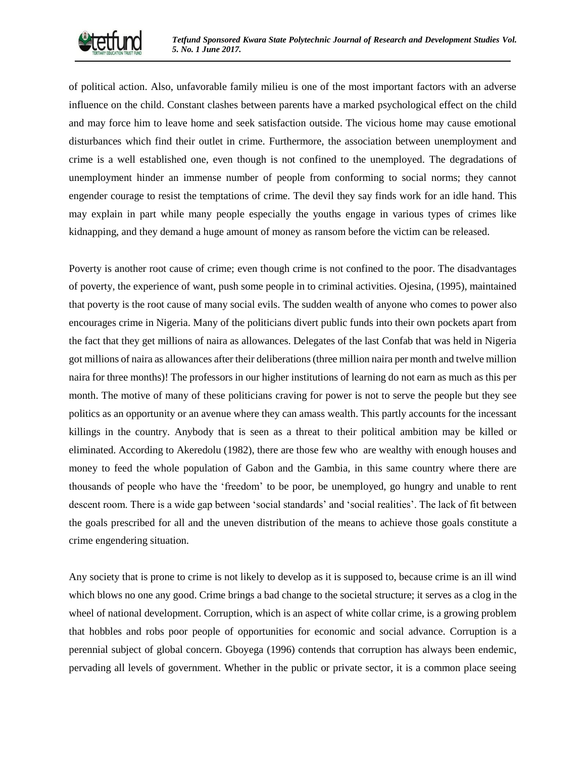

of political action. Also, unfavorable family milieu is one of the most important factors with an adverse influence on the child. Constant clashes between parents have a marked psychological effect on the child and may force him to leave home and seek satisfaction outside. The vicious home may cause emotional disturbances which find their outlet in crime. Furthermore, the association between unemployment and crime is a well established one, even though is not confined to the unemployed. The degradations of unemployment hinder an immense number of people from conforming to social norms; they cannot engender courage to resist the temptations of crime. The devil they say finds work for an idle hand. This may explain in part while many people especially the youths engage in various types of crimes like kidnapping, and they demand a huge amount of money as ransom before the victim can be released.

Poverty is another root cause of crime; even though crime is not confined to the poor. The disadvantages of poverty, the experience of want, push some people in to criminal activities. Ojesina, (1995), maintained that poverty is the root cause of many social evils. The sudden wealth of anyone who comes to power also encourages crime in Nigeria. Many of the politicians divert public funds into their own pockets apart from the fact that they get millions of naira as allowances. Delegates of the last Confab that was held in Nigeria got millions of naira as allowances after their deliberations (three million naira per month and twelve million naira for three months)! The professors in our higher institutions of learning do not earn as much as this per month. The motive of many of these politicians craving for power is not to serve the people but they see politics as an opportunity or an avenue where they can amass wealth. This partly accounts for the incessant killings in the country. Anybody that is seen as a threat to their political ambition may be killed or eliminated. According to Akeredolu (1982), there are those few who are wealthy with enough houses and money to feed the whole population of Gabon and the Gambia, in this same country where there are thousands of people who have the 'freedom' to be poor, be unemployed, go hungry and unable to rent descent room. There is a wide gap between 'social standards' and 'social realities'. The lack of fit between the goals prescribed for all and the uneven distribution of the means to achieve those goals constitute a crime engendering situation.

Any society that is prone to crime is not likely to develop as it is supposed to, because crime is an ill wind which blows no one any good. Crime brings a bad change to the societal structure; it serves as a clog in the wheel of national development. Corruption, which is an aspect of white collar crime, is a growing problem that hobbles and robs poor people of opportunities for economic and social advance. Corruption is a perennial subject of global concern. Gboyega (1996) contends that corruption has always been endemic, pervading all levels of government. Whether in the public or private sector, it is a common place seeing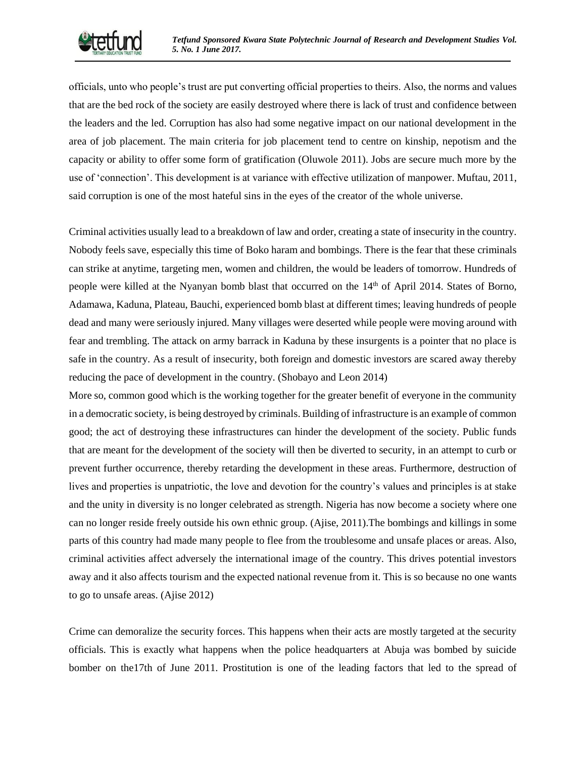

officials, unto who people's trust are put converting official properties to theirs. Also, the norms and values that are the bed rock of the society are easily destroyed where there is lack of trust and confidence between the leaders and the led. Corruption has also had some negative impact on our national development in the area of job placement. The main criteria for job placement tend to centre on kinship, nepotism and the capacity or ability to offer some form of gratification (Oluwole 2011). Jobs are secure much more by the use of 'connection'. This development is at variance with effective utilization of manpower. Muftau, 2011, said corruption is one of the most hateful sins in the eyes of the creator of the whole universe.

Criminal activities usually lead to a breakdown of law and order, creating a state of insecurity in the country. Nobody feels save, especially this time of Boko haram and bombings. There is the fear that these criminals can strike at anytime, targeting men, women and children, the would be leaders of tomorrow. Hundreds of people were killed at the Nyanyan bomb blast that occurred on the 14th of April 2014. States of Borno, Adamawa, Kaduna, Plateau, Bauchi, experienced bomb blast at different times; leaving hundreds of people dead and many were seriously injured. Many villages were deserted while people were moving around with fear and trembling. The attack on army barrack in Kaduna by these insurgents is a pointer that no place is safe in the country. As a result of insecurity, both foreign and domestic investors are scared away thereby reducing the pace of development in the country. (Shobayo and Leon 2014)

More so, common good which is the working together for the greater benefit of everyone in the community in a democratic society, is being destroyed by criminals. Building of infrastructure is an example of common good; the act of destroying these infrastructures can hinder the development of the society. Public funds that are meant for the development of the society will then be diverted to security, in an attempt to curb or prevent further occurrence, thereby retarding the development in these areas. Furthermore, destruction of lives and properties is unpatriotic, the love and devotion for the country's values and principles is at stake and the unity in diversity is no longer celebrated as strength. Nigeria has now become a society where one can no longer reside freely outside his own ethnic group. (Ajise, 2011).The bombings and killings in some parts of this country had made many people to flee from the troublesome and unsafe places or areas. Also, criminal activities affect adversely the international image of the country. This drives potential investors away and it also affects tourism and the expected national revenue from it. This is so because no one wants to go to unsafe areas. (Ajise 2012)

Crime can demoralize the security forces. This happens when their acts are mostly targeted at the security officials. This is exactly what happens when the police headquarters at Abuja was bombed by suicide bomber on the17th of June 2011. Prostitution is one of the leading factors that led to the spread of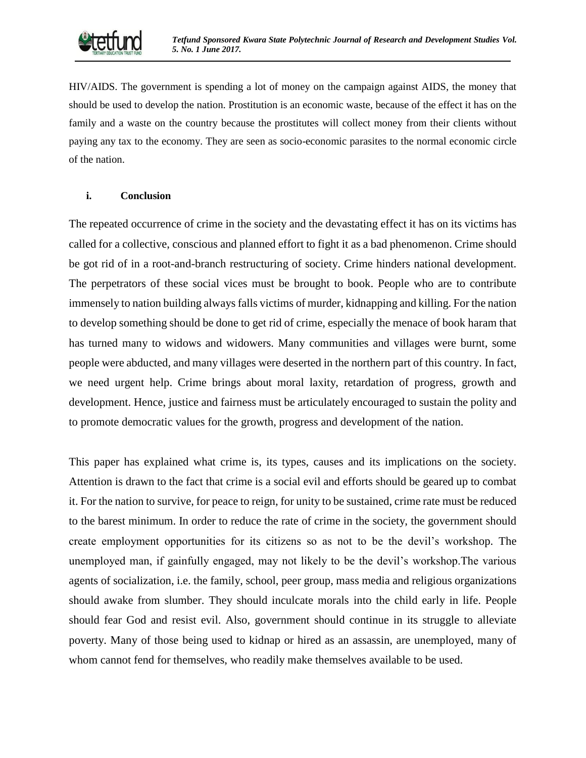HIV/AIDS. The government is spending a lot of money on the campaign against AIDS, the money that should be used to develop the nation. Prostitution is an economic waste, because of the effect it has on the family and a waste on the country because the prostitutes will collect money from their clients without paying any tax to the economy. They are seen as socio-economic parasites to the normal economic circle of the nation.

## **i. Conclusion**

The repeated occurrence of crime in the society and the devastating effect it has on its victims has called for a collective, conscious and planned effort to fight it as a bad phenomenon. Crime should be got rid of in a root-and-branch restructuring of society. Crime hinders national development. The perpetrators of these social vices must be brought to book. People who are to contribute immensely to nation building always falls victims of murder, kidnapping and killing. For the nation to develop something should be done to get rid of crime, especially the menace of book haram that has turned many to widows and widowers. Many communities and villages were burnt, some people were abducted, and many villages were deserted in the northern part of this country. In fact, we need urgent help. Crime brings about moral laxity, retardation of progress, growth and development. Hence, justice and fairness must be articulately encouraged to sustain the polity and to promote democratic values for the growth, progress and development of the nation.

This paper has explained what crime is, its types, causes and its implications on the society. Attention is drawn to the fact that crime is a social evil and efforts should be geared up to combat it. For the nation to survive, for peace to reign, for unity to be sustained, crime rate must be reduced to the barest minimum. In order to reduce the rate of crime in the society, the government should create employment opportunities for its citizens so as not to be the devil's workshop. The unemployed man, if gainfully engaged, may not likely to be the devil's workshop.The various agents of socialization, i.e. the family, school, peer group, mass media and religious organizations should awake from slumber. They should inculcate morals into the child early in life. People should fear God and resist evil. Also, government should continue in its struggle to alleviate poverty. Many of those being used to kidnap or hired as an assassin, are unemployed, many of whom cannot fend for themselves, who readily make themselves available to be used.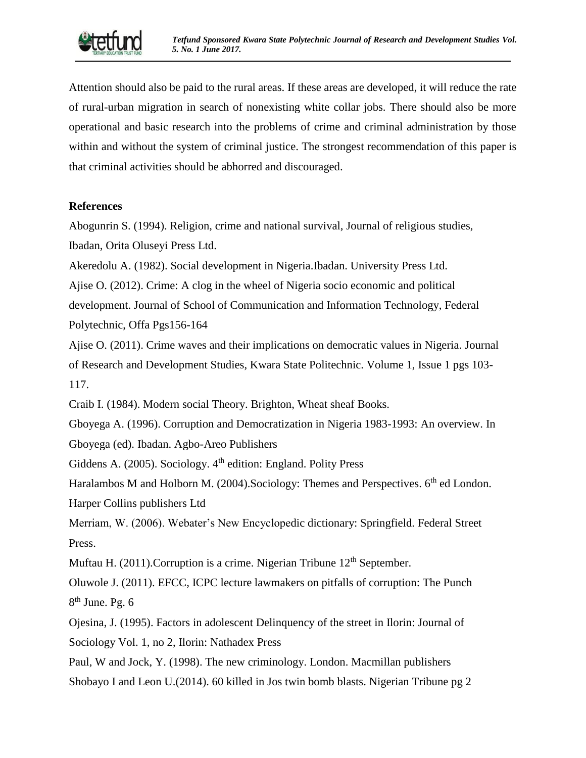

Attention should also be paid to the rural areas. If these areas are developed, it will reduce the rate of rural-urban migration in search of nonexisting white collar jobs. There should also be more operational and basic research into the problems of crime and criminal administration by those within and without the system of criminal justice. The strongest recommendation of this paper is that criminal activities should be abhorred and discouraged.

# **References**

Abogunrin S. (1994). Religion, crime and national survival, Journal of religious studies, Ibadan, Orita Oluseyi Press Ltd.

Akeredolu A. (1982). Social development in Nigeria.Ibadan. University Press Ltd.

Ajise O. (2012). Crime: A clog in the wheel of Nigeria socio economic and political

development. Journal of School of Communication and Information Technology, Federal Polytechnic, Offa Pgs156-164

Ajise O. (2011). Crime waves and their implications on democratic values in Nigeria. Journal of Research and Development Studies, Kwara State Politechnic. Volume 1, Issue 1 pgs 103- 117.

Craib I. (1984). Modern social Theory. Brighton, Wheat sheaf Books.

Gboyega A. (1996). Corruption and Democratization in Nigeria 1983-1993: An overview. In Gboyega (ed). Ibadan. Agbo-Areo Publishers

Giddens A. (2005). Sociology.  $4<sup>th</sup>$  edition: England. Polity Press

Haralambos M and Holborn M. (2004). Sociology: Themes and Perspectives. 6<sup>th</sup> ed London. Harper Collins publishers Ltd

Merriam, W. (2006). Webater's New Encyclopedic dictionary: Springfield. Federal Street Press.

Muftau H. (2011). Corruption is a crime. Nigerian Tribune  $12<sup>th</sup>$  September.

Oluwole J. (2011). EFCC, ICPC lecture lawmakers on pitfalls of corruption: The Punch 8<sup>th</sup> June. Pg. 6

Ojesina, J. (1995). Factors in adolescent Delinquency of the street in Ilorin: Journal of Sociology Vol. 1, no 2, Ilorin: Nathadex Press

Paul, W and Jock, Y. (1998). The new criminology. London. Macmillan publishers

Shobayo I and Leon U.(2014). 60 killed in Jos twin bomb blasts. Nigerian Tribune pg 2